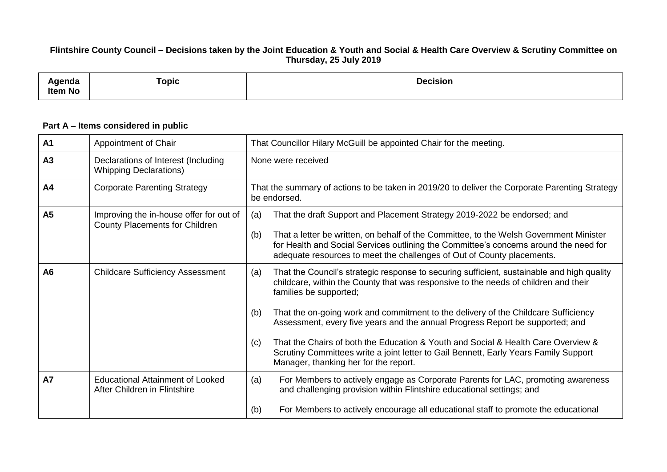## **Flintshire County Council – Decisions taken by the Joint Education & Youth and Social & Health Care Overview & Scrutiny Committee on Thursday, 25 July 2019**

| .<br>anua<br><b>Item No</b> | <b>Topic</b> | <b>Decision</b> |
|-----------------------------|--------------|-----------------|
|-----------------------------|--------------|-----------------|

## **Part A – Items considered in public**

| <b>A1</b> | Appointment of Chair                                                             | That Councillor Hilary McGuill be appointed Chair for the meeting.                                                                                                                                                                                                                                                                                                                                                                                                                                                                                                                                                            |
|-----------|----------------------------------------------------------------------------------|-------------------------------------------------------------------------------------------------------------------------------------------------------------------------------------------------------------------------------------------------------------------------------------------------------------------------------------------------------------------------------------------------------------------------------------------------------------------------------------------------------------------------------------------------------------------------------------------------------------------------------|
| A3        | Declarations of Interest (Including<br><b>Whipping Declarations)</b>             | None were received                                                                                                                                                                                                                                                                                                                                                                                                                                                                                                                                                                                                            |
| A4        | <b>Corporate Parenting Strategy</b>                                              | That the summary of actions to be taken in 2019/20 to deliver the Corporate Parenting Strategy<br>be endorsed.                                                                                                                                                                                                                                                                                                                                                                                                                                                                                                                |
| <b>A5</b> | Improving the in-house offer for out of<br><b>County Placements for Children</b> | That the draft Support and Placement Strategy 2019-2022 be endorsed; and<br>(a)<br>That a letter be written, on behalf of the Committee, to the Welsh Government Minister<br>(b)<br>for Health and Social Services outlining the Committee's concerns around the need for<br>adequate resources to meet the challenges of Out of County placements.                                                                                                                                                                                                                                                                           |
| A6        | <b>Childcare Sufficiency Assessment</b>                                          | That the Council's strategic response to securing sufficient, sustainable and high quality<br>(a)<br>childcare, within the County that was responsive to the needs of children and their<br>families be supported;<br>That the on-going work and commitment to the delivery of the Childcare Sufficiency<br>(b)<br>Assessment, every five years and the annual Progress Report be supported; and<br>That the Chairs of both the Education & Youth and Social & Health Care Overview &<br>(c)<br>Scrutiny Committees write a joint letter to Gail Bennett, Early Years Family Support<br>Manager, thanking her for the report. |
| <b>A7</b> | <b>Educational Attainment of Looked</b><br>After Children in Flintshire          | For Members to actively engage as Corporate Parents for LAC, promoting awareness<br>(a)<br>and challenging provision within Flintshire educational settings; and<br>For Members to actively encourage all educational staff to promote the educational<br>(b)                                                                                                                                                                                                                                                                                                                                                                 |